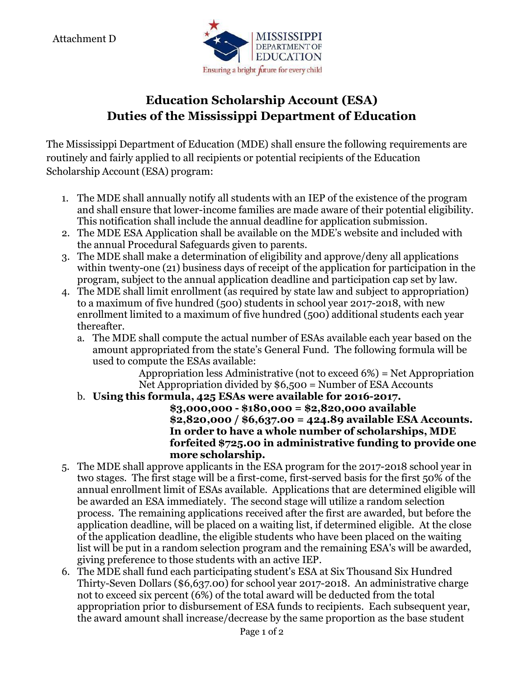Attachment D



## **Education Scholarship Account (ESA) Duties of the Mississippi Department of Education**

The Mississippi Department of Education (MDE) shall ensure the following requirements are routinely and fairly applied to all recipients or potential recipients of the Education Scholarship Account (ESA) program:

- 1. The MDE shall annually notify all students with an IEP of the existence of the program and shall ensure that lower-income families are made aware of their potential eligibility. This notification shall include the annual deadline for application submission.
- 2. The MDE ESA Application shall be available on the MDE's website and included with the annual Procedural Safeguards given to parents.
- 3. The MDE shall make a determination of eligibility and approve/deny all applications within twenty-one (21) business days of receipt of the application for participation in the program, subject to the annual application deadline and participation cap set by law.
- 4. The MDE shall limit enrollment (as required by state law and subject to appropriation) to a maximum of five hundred (500) students in school year 2017-2018, with new enrollment limited to a maximum of five hundred (500) additional students each year thereafter.
	- a. The MDE shall compute the actual number of ESAs available each year based on the amount appropriated from the state's General Fund. The following formula will be used to compute the ESAs available:

Appropriation less Administrative (not to exceed 6%) = Net Appropriation Net Appropriation divided by \$6,500 = Number of ESA Accounts

b. **Using this formula, 425 ESAs were available for 2016-2017.**

**\$3,000,000 - \$180,000 = \$2,820,000 available \$2,820,000 / \$6,637.00 = 424.89 available ESA Accounts. In order to have a whole number of scholarships, MDE forfeited \$725.00 in administrative funding to provide one more scholarship.**

- 5. The MDE shall approve applicants in the ESA program for the 2017-2018 school year in two stages. The first stage will be a first-come, first-served basis for the first 50% of the annual enrollment limit of ESAs available. Applications that are determined eligible will be awarded an ESA immediately. The second stage will utilize a random selection process. The remaining applications received after the first are awarded, but before the application deadline, will be placed on a waiting list, if determined eligible. At the close of the application deadline, the eligible students who have been placed on the waiting list will be put in a random selection program and the remaining ESA's will be awarded, giving preference to those students with an active IEP.
- 6. The MDE shall fund each participating student's ESA at Six Thousand Six Hundred Thirty-Seven Dollars (\$6,637.00) for school year 2017-2018. An administrative charge not to exceed six percent (6%) of the total award will be deducted from the total appropriation prior to disbursement of ESA funds to recipients. Each subsequent year, the award amount shall increase/decrease by the same proportion as the base student